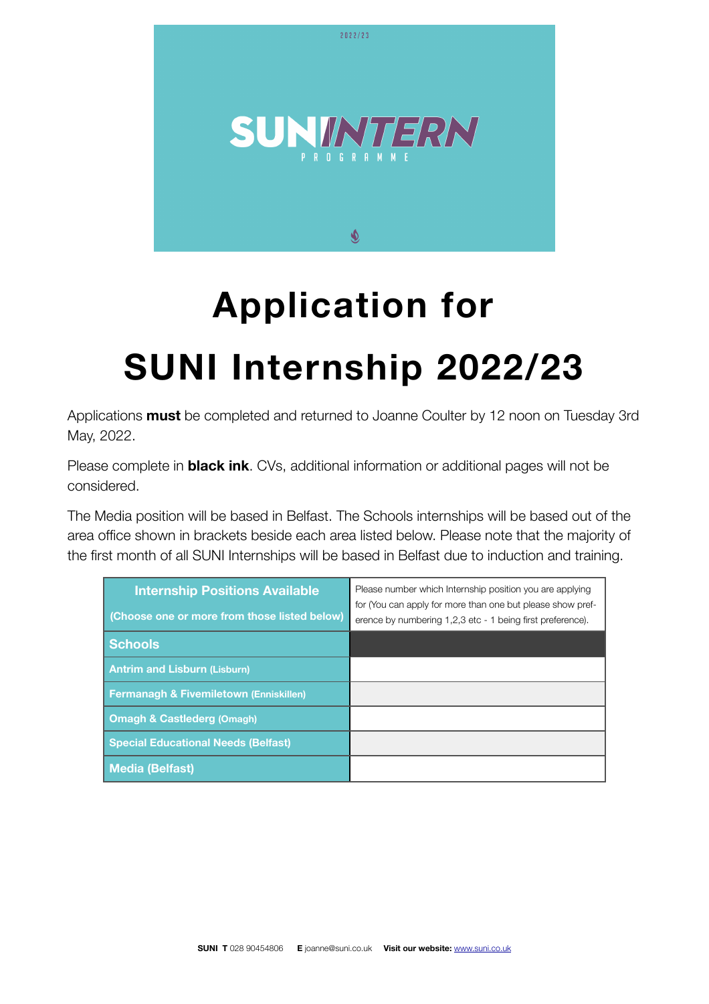

# **Application for**

## **SUNI Internship 2022/23**

Applications **must** be completed and returned to Joanne Coulter by 12 noon on Tuesday 3rd May, 2022.

Please complete in **black ink**. CVs, additional information or additional pages will not be considered.

The Media position will be based in Belfast. The Schools internships will be based out of the area office shown in brackets beside each area listed below. Please note that the majority of the first month of all SUNI Internships will be based in Belfast due to induction and training.

| <b>Internship Positions Available</b><br>(Choose one or more from those listed below) | Please number which Internship position you are applying<br>for (You can apply for more than one but please show pref-<br>erence by numbering 1,2,3 etc - 1 being first preference). |
|---------------------------------------------------------------------------------------|--------------------------------------------------------------------------------------------------------------------------------------------------------------------------------------|
| <b>Schools</b>                                                                        |                                                                                                                                                                                      |
| <b>Antrim and Lisburn (Lisburn)</b>                                                   |                                                                                                                                                                                      |
| <b>Fermanagh &amp; Fivemiletown (Enniskillen)</b>                                     |                                                                                                                                                                                      |
| <b>Omagh &amp; Castlederg (Omagh)</b>                                                 |                                                                                                                                                                                      |
| <b>Special Educational Needs (Belfast)</b>                                            |                                                                                                                                                                                      |
| Media (Belfast)                                                                       |                                                                                                                                                                                      |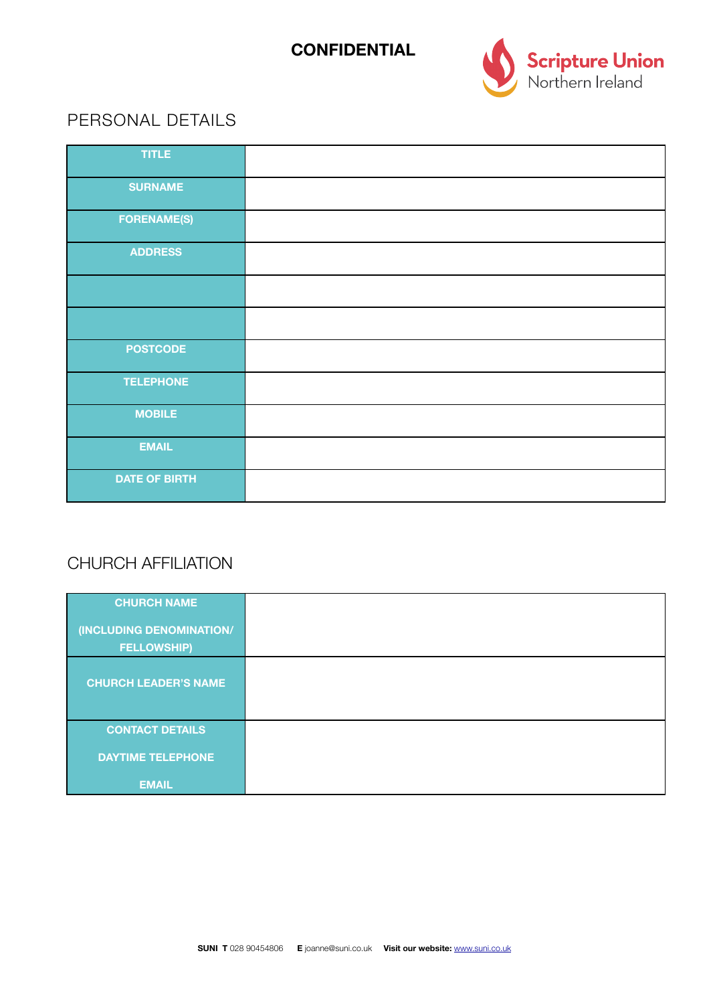#### **CONFIDENTIAL**



#### PERSONAL DETAILS

| <b>TITLE</b>         |  |
|----------------------|--|
| <b>SURNAME</b>       |  |
| <b>FORENAME(S)</b>   |  |
| <b>ADDRESS</b>       |  |
|                      |  |
|                      |  |
| <b>POSTCODE</b>      |  |
| <b>TELEPHONE</b>     |  |
| <b>MOBILE</b>        |  |
| <b>EMAIL</b>         |  |
| <b>DATE OF BIRTH</b> |  |

## CHURCH AFFILIATION

| <b>CHURCH NAME</b>                             |  |
|------------------------------------------------|--|
| (INCLUDING DENOMINATION/<br><b>FELLOWSHIP)</b> |  |
| <b>CHURCH LEADER'S NAME</b>                    |  |
| <b>CONTACT DETAILS</b>                         |  |
| <b>DAYTIME TELEPHONE</b>                       |  |
| <b>EMAIL</b>                                   |  |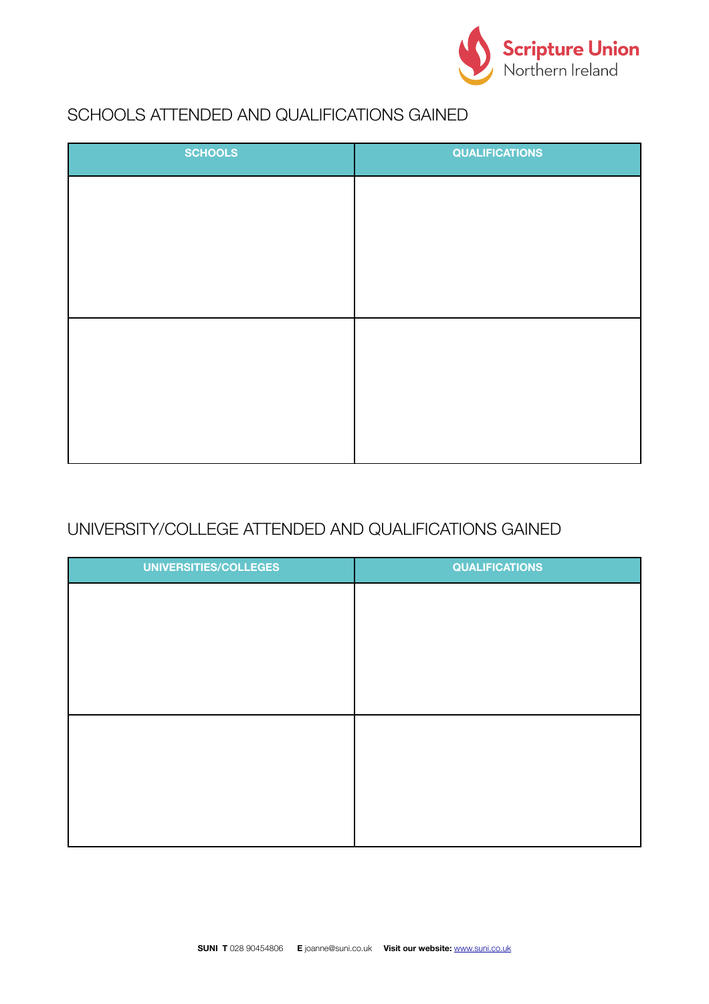

## SCHOOLS ATTENDED AND QUALIFICATIONS GAINED

| <b>QUALIFICATIONS</b> |
|-----------------------|
|                       |
|                       |
|                       |
|                       |
|                       |
|                       |
|                       |
|                       |
|                       |

#### UNIVERSITY/COLLEGE ATTENDED AND QUALIFICATIONS GAINED

| UNIVERSITIES/COLLEGES | <b>QUALIFICATIONS</b> |
|-----------------------|-----------------------|
|                       |                       |
|                       |                       |
|                       |                       |
|                       |                       |
|                       |                       |
|                       |                       |
|                       |                       |
|                       |                       |
|                       |                       |
|                       |                       |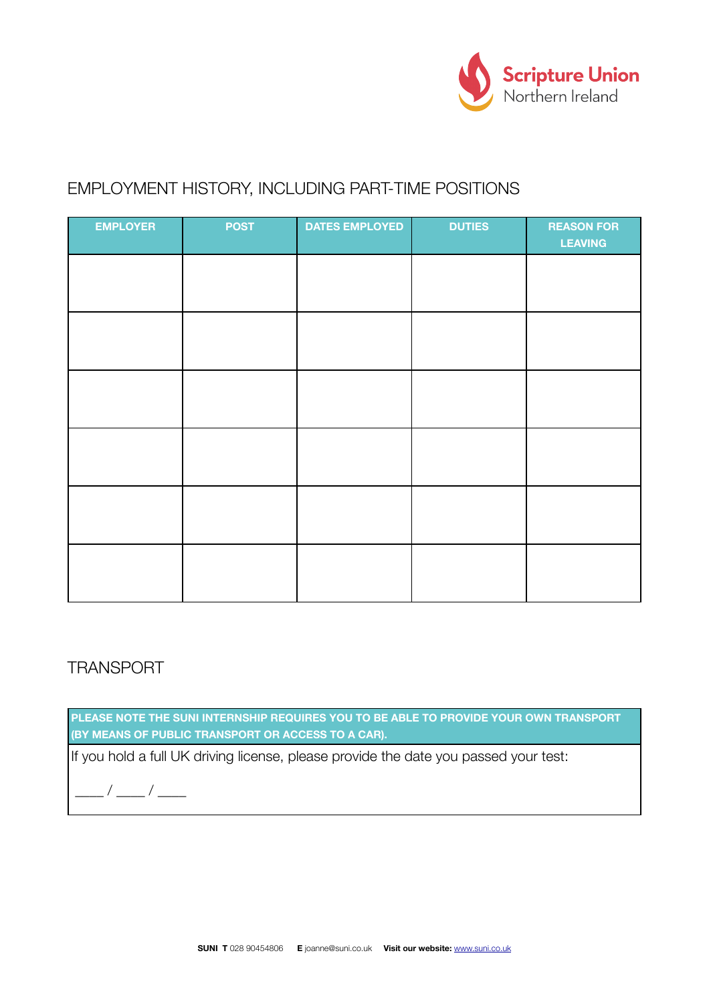

#### EMPLOYMENT HISTORY, INCLUDING PART-TIME POSITIONS

| <b>EMPLOYER</b> | <b>POST</b> | <b>DATES EMPLOYED</b> | <b>DUTIES</b> | <b>REASON FOR</b><br><b>LEAVING</b> |
|-----------------|-------------|-----------------------|---------------|-------------------------------------|
|                 |             |                       |               |                                     |
|                 |             |                       |               |                                     |
|                 |             |                       |               |                                     |
|                 |             |                       |               |                                     |
|                 |             |                       |               |                                     |
|                 |             |                       |               |                                     |

#### **TRANSPORT**

**PLEASE NOTE THE SUNI INTERNSHIP REQUIRES YOU TO BE ABLE TO PROVIDE YOUR OWN TRANSPORT (BY MEANS OF PUBLIC TRANSPORT OR ACCESS TO A CAR).**

If you hold a full UK driving license, please provide the date you passed your test:

\_\_\_\_ / \_\_\_\_ / \_\_\_\_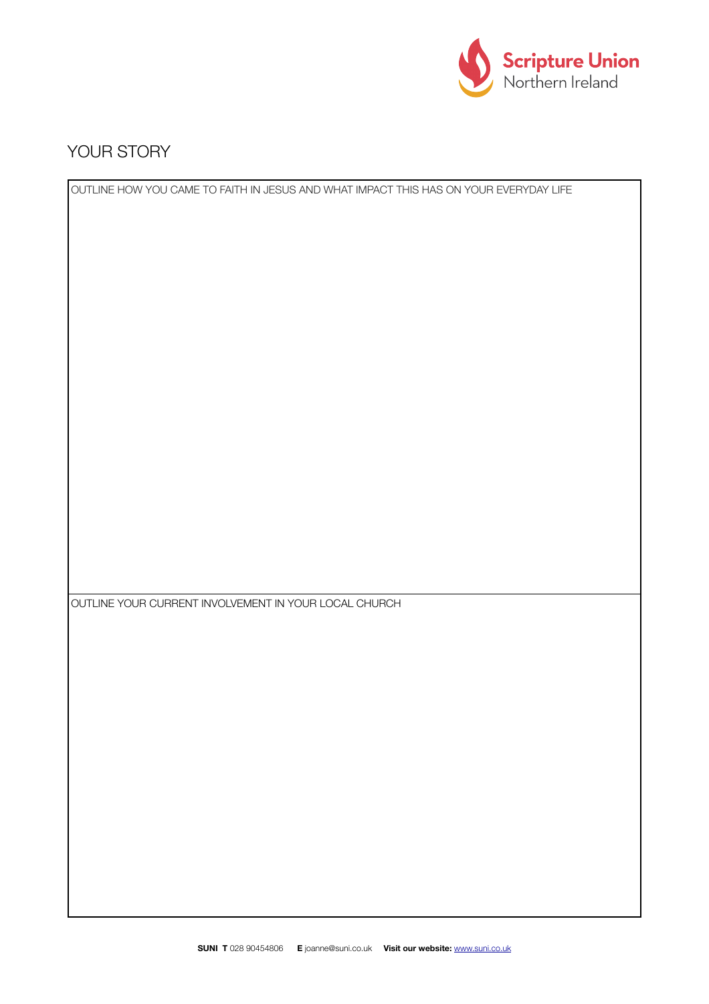

#### YOUR STORY

OUTLINE HOW YOU CAME TO FAITH IN JESUS AND WHAT IMPACT THIS HAS ON YOUR EVERYDAY LIFE OUTLINE YOUR CURRENT INVOLVEMENT IN YOUR LOCAL CHURCH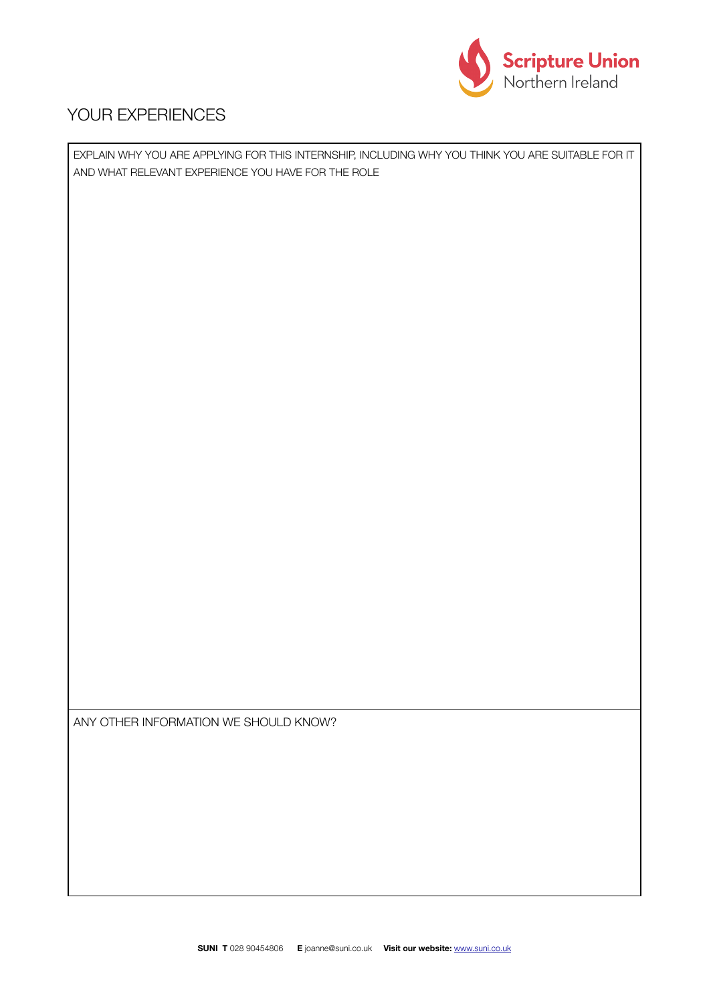

#### YOUR EXPERIENCES

EXPLAIN WHY YOU ARE APPLYING FOR THIS INTERNSHIP, INCLUDING WHY YOU THINK YOU ARE SUITABLE FOR IT AND WHAT RELEVANT EXPERIENCE YOU HAVE FOR THE ROLE

ANY OTHER INFORMATION WE SHOULD KNOW?